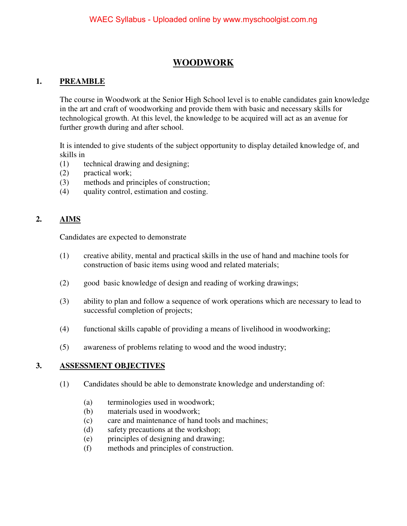## **WOODWORK**

### **1. PREAMBLE**

The course in Woodwork at the Senior High School level is to enable candidates gain knowledge in the art and craft of woodworking and provide them with basic and necessary skills for technological growth. At this level, the knowledge to be acquired will act as an avenue for further growth during and after school.

It is intended to give students of the subject opportunity to display detailed knowledge of, and skills in

- (1) technical drawing and designing;
- (2) practical work;
- (3) methods and principles of construction;
- (4) quality control, estimation and costing.

## **2. AIMS**

Candidates are expected to demonstrate

- (1) creative ability, mental and practical skills in the use of hand and machine tools for construction of basic items using wood and related materials;
- (2) good basic knowledge of design and reading of working drawings;
- (3) ability to plan and follow a sequence of work operations which are necessary to lead to successful completion of projects;
- (4) functional skills capable of providing a means of livelihood in woodworking;
- (5) awareness of problems relating to wood and the wood industry;

### **3. ASSESSMENT OBJECTIVES**

- (1) Candidates should be able to demonstrate knowledge and understanding of:
	- (a) terminologies used in woodwork;
	- (b) materials used in woodwork;
	- (c) care and maintenance of hand tools and machines;
	- (d) safety precautions at the workshop;
	- (e) principles of designing and drawing;
	- (f) methods and principles of construction.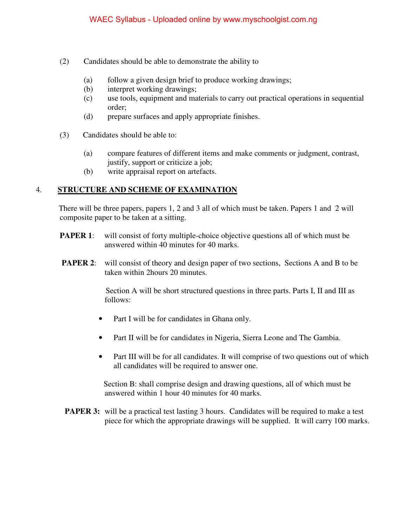- (2) Candidates should be able to demonstrate the ability to
	- (a) follow a given design brief to produce working drawings;
	- (b) interpret working drawings;
	- (c) use tools, equipment and materials to carry out practical operations in sequential order;
	- (d) prepare surfaces and apply appropriate finishes.
- (3) Candidates should be able to:
	- (a) compare features of different items and make comments or judgment, contrast, justify, support or criticize a job;
	- (b) write appraisal report on artefacts.

### 4. **STRUCTURE AND SCHEME OF EXAMINATION**

 There will be three papers, papers 1, 2 and 3 all of which must be taken. Papers 1 and 2 will composite paper to be taken at a sitting.

- **PAPER 1:** will consist of forty multiple-choice objective questions all of which must be answered within 40 minutes for 40 marks.
- **PAPER 2:** will consist of theory and design paper of two sections, Sections A and B to be taken within 2hours 20 minutes.

 Section A will be short structured questions in three parts. Parts I, II and III as follows:

- Part I will be for candidates in Ghana only.
- Part II will be for candidates in Nigeria, Sierra Leone and The Gambia.
- Part III will be for all candidates. It will comprise of two questions out of which all candidates will be required to answer one.

 Section B: shall comprise design and drawing questions, all of which must be answered within 1 hour 40 minutes for 40 marks.

**PAPER 3:** will be a practical test lasting 3 hours. Candidates will be required to make a test piece for which the appropriate drawings will be supplied. It will carry 100 marks.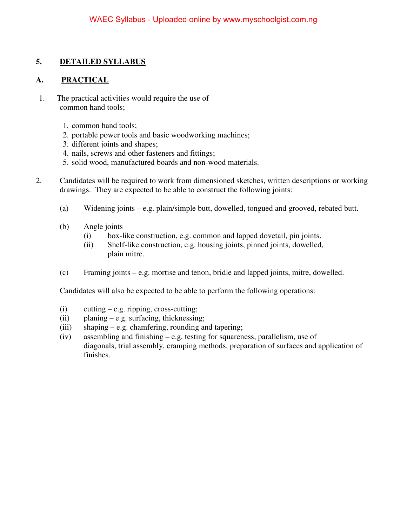### **5. DETAILED SYLLABUS**

### **A. PRACTICAL**

- 1. The practical activities would require the use of common hand tools;
	- 1. common hand tools;
	- 2. portable power tools and basic woodworking machines;
	- 3. different joints and shapes;
	- 4. nails, screws and other fasteners and fittings;
	- 5. solid wood, manufactured boards and non-wood materials.
- 2. Candidates will be required to work from dimensioned sketches, written descriptions or working drawings. They are expected to be able to construct the following joints:
	- (a) Widening joints e.g. plain/simple butt, dowelled, tongued and grooved, rebated butt.
	- (b) Angle joints
		- (i) box-like construction, e.g. common and lapped dovetail, pin joints.
		- (ii) Shelf-like construction, e.g. housing joints, pinned joints, dowelled, plain mitre.
	- (c) Framing joints e.g. mortise and tenon, bridle and lapped joints, mitre, dowelled.

Candidates will also be expected to be able to perform the following operations:

- $(i)$  cutting e.g. ripping, cross-cutting;
- (ii) planing e.g. surfacing, thicknessing;
- (iii) shaping e.g. chamfering, rounding and tapering;
- (iv) assembling and finishing e.g. testing for squareness, parallelism, use of diagonals, trial assembly, cramping methods, preparation of surfaces and application of finishes.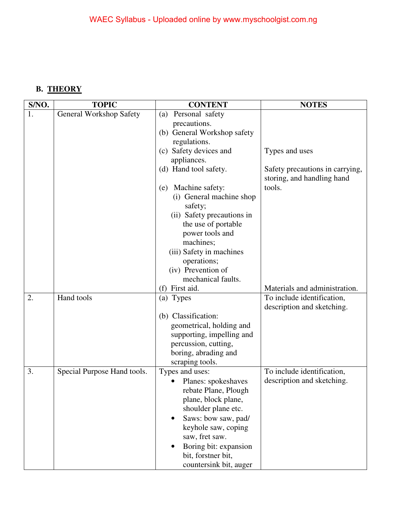# **B. THEORY**

| S/NO.    | <b>TOPIC</b>                | <b>CONTENT</b>                                                                                                                                                                                                                            | <b>NOTES</b>                                                                           |
|----------|-----------------------------|-------------------------------------------------------------------------------------------------------------------------------------------------------------------------------------------------------------------------------------------|----------------------------------------------------------------------------------------|
| 1.       | General Workshop Safety     | Personal safety<br>(a)<br>precautions.<br>(b) General Workshop safety<br>regulations.                                                                                                                                                     |                                                                                        |
|          |                             | (c) Safety devices and<br>appliances.                                                                                                                                                                                                     | Types and uses                                                                         |
|          |                             | (d) Hand tool safety.                                                                                                                                                                                                                     | Safety precautions in carrying,<br>storing, and handling hand                          |
|          |                             | Machine safety:<br>(e)<br>(i) General machine shop<br>safety;<br>(ii) Safety precautions in<br>the use of portable<br>power tools and<br>machines;<br>(iii) Safety in machines<br>operations;<br>(iv) Prevention of<br>mechanical faults. | tools.                                                                                 |
|          |                             | (f) First aid.                                                                                                                                                                                                                            | Materials and administration.                                                          |
| 2.<br>3. | Hand tools                  | (a) Types<br>(b) Classification:<br>geometrical, holding and<br>supporting, impelling and<br>percussion, cutting,<br>boring, abrading and<br>scraping tools.<br>Types and uses:                                                           | To include identification,<br>description and sketching.<br>To include identification, |
|          | Special Purpose Hand tools. | Planes: spokeshaves<br>rebate Plane, Plough<br>plane, block plane,<br>shoulder plane etc.<br>Saws: bow saw, pad/<br>keyhole saw, coping<br>saw, fret saw.<br>Boring bit: expansion<br>bit, forstner bit,<br>countersink bit, auger        | description and sketching.                                                             |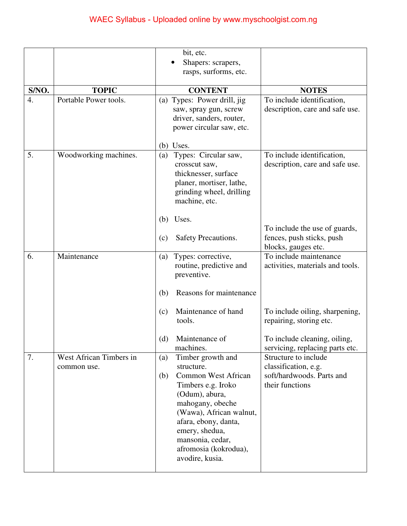|       |                                        | bit, etc.                                                                                                                                                                                                                                                                    |                                                                                              |
|-------|----------------------------------------|------------------------------------------------------------------------------------------------------------------------------------------------------------------------------------------------------------------------------------------------------------------------------|----------------------------------------------------------------------------------------------|
|       |                                        | Shapers: scrapers,                                                                                                                                                                                                                                                           |                                                                                              |
|       |                                        | rasps, surforms, etc.                                                                                                                                                                                                                                                        |                                                                                              |
| S/NO. | <b>TOPIC</b>                           | <b>CONTENT</b>                                                                                                                                                                                                                                                               | <b>NOTES</b>                                                                                 |
| 4.    | Portable Power tools.                  | (a) Types: Power drill, jig                                                                                                                                                                                                                                                  | To include identification,                                                                   |
|       |                                        | saw, spray gun, screw<br>driver, sanders, router,<br>power circular saw, etc.                                                                                                                                                                                                | description, care and safe use.                                                              |
|       |                                        | $(b)$ Uses.                                                                                                                                                                                                                                                                  |                                                                                              |
| 5.    | Woodworking machines.                  | Types: Circular saw,<br>(a)<br>crosscut saw,<br>thicknesser, surface<br>planer, mortiser, lathe,<br>grinding wheel, drilling<br>machine, etc.                                                                                                                                | To include identification,<br>description, care and safe use.                                |
|       |                                        | Uses.<br>(b)                                                                                                                                                                                                                                                                 |                                                                                              |
|       |                                        | Safety Precautions.<br>(c)                                                                                                                                                                                                                                                   | To include the use of guards,<br>fences, push sticks, push<br>blocks, gauges etc.            |
| 6.    | Maintenance                            | Types: corrective,<br>(a)<br>routine, predictive and<br>preventive.                                                                                                                                                                                                          | To include maintenance<br>activities, materials and tools.                                   |
|       |                                        | Reasons for maintenance<br>(b)                                                                                                                                                                                                                                               |                                                                                              |
|       |                                        | Maintenance of hand<br>(c)<br>tools.                                                                                                                                                                                                                                         | To include oiling, sharpening,<br>repairing, storing etc.                                    |
|       |                                        | Maintenance of<br>(d)<br>machines.                                                                                                                                                                                                                                           | To include cleaning, oiling,<br>servicing, replacing parts etc.                              |
| 7.    | West African Timbers in<br>common use. | Timber growth and<br>(a)<br>structure.<br><b>Common West African</b><br>(b)<br>Timbers e.g. Iroko<br>(Odum), abura,<br>mahogany, obeche<br>(Wawa), African walnut,<br>afara, ebony, danta,<br>emery, shedua,<br>mansonia, cedar,<br>afromosia (kokrodua),<br>avodire, kusia. | Structure to include<br>classification, e.g.<br>soft/hardwoods. Parts and<br>their functions |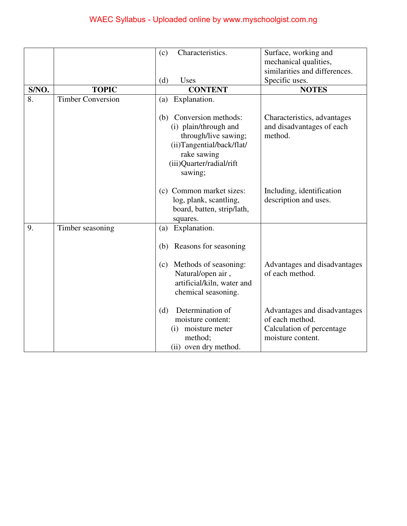|       |                          | Characteristics.<br>(c)                                                                                                                                        | Surface, working and                                                |
|-------|--------------------------|----------------------------------------------------------------------------------------------------------------------------------------------------------------|---------------------------------------------------------------------|
|       |                          |                                                                                                                                                                | mechanical qualities,<br>similarities and differences.              |
|       |                          | (d)<br>Uses                                                                                                                                                    | Specific uses.                                                      |
| S/NO. | <b>TOPIC</b>             | <b>CONTENT</b>                                                                                                                                                 | <b>NOTES</b>                                                        |
| 8.    | <b>Timber Conversion</b> | Explanation.<br>(a)                                                                                                                                            |                                                                     |
|       |                          | Conversion methods:<br>(b)<br>(i) plain/through and<br>through/live sawing;<br>(ii)Tangential/back/flat/<br>rake sawing<br>(iii)Quarter/radial/rift<br>sawing; | Characteristics, advantages<br>and disadvantages of each<br>method. |
|       |                          | (c) Common market sizes:<br>log, plank, scantling,<br>board, batten, strip/lath,<br>squares.                                                                   | Including, identification<br>description and uses.                  |
| 9.    | Timber seasoning         | Explanation.<br>(a)                                                                                                                                            |                                                                     |
|       |                          | Reasons for seasoning<br>(b)                                                                                                                                   |                                                                     |
|       |                          | Methods of seasoning:<br>(c)<br>Natural/open air,<br>artificial/kiln, water and<br>chemical seasoning.                                                         | Advantages and disadvantages<br>of each method.                     |
|       |                          | Determination of<br>(d)<br>moisture content:                                                                                                                   | Advantages and disadvantages<br>of each method.                     |
|       |                          | moisture meter<br>(i)<br>method;                                                                                                                               | Calculation of percentage<br>moisture content.                      |
|       |                          | (ii) oven dry method.                                                                                                                                          |                                                                     |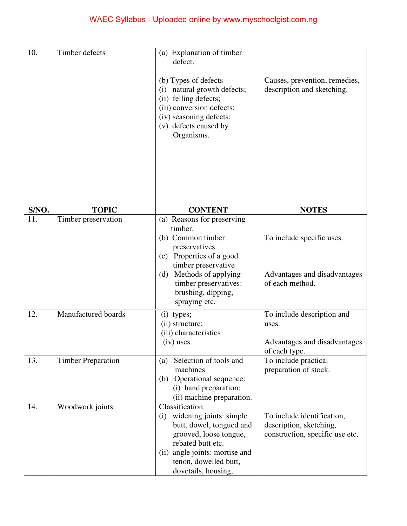| 10.   | Timber defects            | (a) Explanation of timber<br>defect.<br>(b) Types of defects<br>natural growth defects;<br>(i)<br>(ii) felling defects;<br>(iii) conversion defects;<br>(iv) seasoning defects;<br>(v) defects caused by<br>Organisms.       | Causes, prevention, remedies,<br>description and sketching.                              |
|-------|---------------------------|------------------------------------------------------------------------------------------------------------------------------------------------------------------------------------------------------------------------------|------------------------------------------------------------------------------------------|
| S/NO. | <b>TOPIC</b>              | <b>CONTENT</b>                                                                                                                                                                                                               | <b>NOTES</b>                                                                             |
| 11.   | Timber preservation       | (a) Reasons for preserving<br>timber.<br>(b) Common timber<br>preservatives<br>(c) Properties of a good<br>timber preservative<br>Methods of applying<br>(d)<br>timber preservatives:<br>brushing, dipping,<br>spraying etc. | To include specific uses.<br>Advantages and disadvantages<br>of each method.             |
| 12.   | Manufactured boards       | $(i)$ types;<br>(ii) structure;<br>(iii) characteristics<br>(iv) uses.                                                                                                                                                       | To include description and<br>uses.<br>Advantages and disadvantages<br>of each type.     |
| 13.   | <b>Timber Preparation</b> | Selection of tools and<br>(a)<br>machines<br>Operational sequence:<br>(b)<br>(i) hand preparation;<br>(ii) machine preparation.                                                                                              | To include practical<br>preparation of stock.                                            |
| 14.   | Woodwork joints           | Classification:<br>widening joints: simple<br>(i)<br>butt, dowel, tongued and<br>grooved, loose tongue,<br>rebated butt etc.<br>angle joints: mortise and<br>(ii)<br>tenon, dowelled butt,<br>dovetails, housing,            | To include identification,<br>description, sketching,<br>construction, specific use etc. |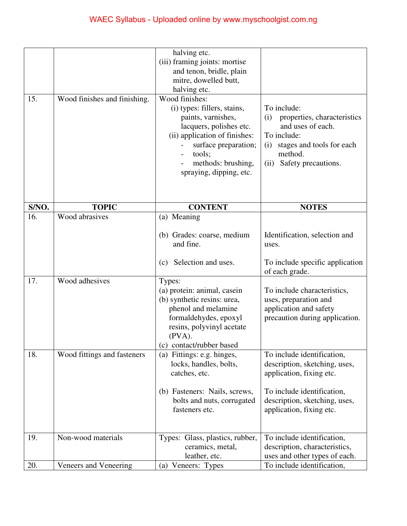| 15.   | Wood finishes and finishing. | halving etc.<br>(iii) framing joints: mortise<br>and tenon, bridle, plain<br>mitre, dowelled butt,<br>halving etc.<br>Wood finishes:<br>(i) types: fillers, stains,<br>paints, varnishes,<br>lacquers, polishes etc.<br>(ii) application of finishes:<br>surface preparation;<br>tools;<br>methods: brushing,<br>spraying, dipping, etc. | To include:<br>properties, characteristics<br>(i)<br>and uses of each.<br>To include:<br>stages and tools for each<br>(i)<br>method.<br>Safety precautions.<br>(ii)                |
|-------|------------------------------|------------------------------------------------------------------------------------------------------------------------------------------------------------------------------------------------------------------------------------------------------------------------------------------------------------------------------------------|------------------------------------------------------------------------------------------------------------------------------------------------------------------------------------|
| S/NO. | <b>TOPIC</b>                 | <b>CONTENT</b>                                                                                                                                                                                                                                                                                                                           | <b>NOTES</b>                                                                                                                                                                       |
| 16.   | Wood abrasives               | (a) Meaning                                                                                                                                                                                                                                                                                                                              |                                                                                                                                                                                    |
| 17.   | Wood adhesives               | (b) Grades: coarse, medium<br>and fine.<br>Selection and uses.<br>(c)<br>Types:                                                                                                                                                                                                                                                          | Identification, selection and<br>uses.<br>To include specific application<br>of each grade.                                                                                        |
|       |                              | (a) protein: animal, casein<br>(b) synthetic resins: urea,<br>phenol and melamine<br>formaldehydes, epoxyl<br>resins, polyvinyl acetate<br>$(PVA)$ .<br>(c)<br>contact/rubber based                                                                                                                                                      | To include characteristics,<br>uses, preparation and<br>application and safety<br>precaution during application.                                                                   |
| 18.   | Wood fittings and fasteners  | (a) Fittings: e.g. hinges,<br>locks, handles, bolts,<br>catches, etc.<br>(b) Fasteners: Nails, screws,<br>bolts and nuts, corrugated<br>fasteners etc.                                                                                                                                                                                   | To include identification,<br>description, sketching, uses,<br>application, fixing etc.<br>To include identification,<br>description, sketching, uses,<br>application, fixing etc. |
| 19.   | Non-wood materials           | Types: Glass, plastics, rubber,<br>ceramics, metal,<br>leather, etc.                                                                                                                                                                                                                                                                     | To include identification,<br>description, characteristics,<br>uses and other types of each.                                                                                       |
| 20.   | Veneers and Veneering        | (a) Veneers: Types                                                                                                                                                                                                                                                                                                                       | To include identification,                                                                                                                                                         |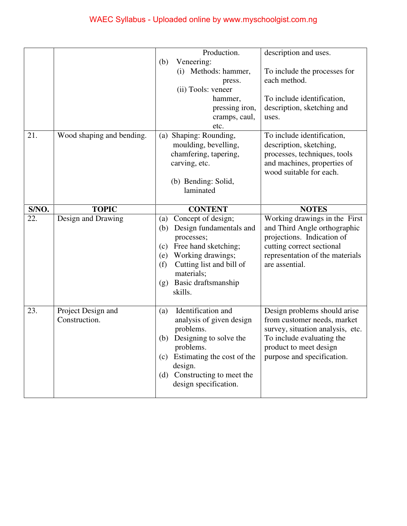|       |                           | Production.                                              | description and uses.            |
|-------|---------------------------|----------------------------------------------------------|----------------------------------|
|       |                           | Veneering:<br>(b)                                        |                                  |
|       |                           | (i) Methods: hammer,                                     | To include the processes for     |
|       |                           | press.                                                   | each method.                     |
|       |                           | (ii) Tools: veneer                                       |                                  |
|       |                           | hammer,                                                  | To include identification,       |
|       |                           | pressing iron,                                           | description, sketching and       |
|       |                           | cramps, caul,                                            | uses.                            |
|       |                           | etc.                                                     |                                  |
| 21.   | Wood shaping and bending. | Shaping: Rounding,<br>(a)                                | To include identification,       |
|       |                           | moulding, bevelling,                                     | description, sketching,          |
|       |                           | chamfering, tapering,                                    | processes, techniques, tools     |
|       |                           | carving, etc.                                            | and machines, properties of      |
|       |                           |                                                          | wood suitable for each.          |
|       |                           | (b) Bending: Solid,                                      |                                  |
|       |                           | laminated                                                |                                  |
|       |                           |                                                          |                                  |
| S/NO. | <b>TOPIC</b>              | <b>CONTENT</b>                                           | <b>NOTES</b>                     |
| 22.   | Design and Drawing        | Concept of design;<br>(a)                                | Working drawings in the First    |
|       |                           |                                                          |                                  |
|       |                           | Design fundamentals and<br>(b)                           | and Third Angle orthographic     |
|       |                           | processes;                                               | projections. Indication of       |
|       |                           | Free hand sketching;<br>(c)                              | cutting correct sectional        |
|       |                           | Working drawings;<br>(e)                                 | representation of the materials  |
|       |                           | Cutting list and bill of<br>(f)                          | are assential.                   |
|       |                           | materials;                                               |                                  |
|       |                           | Basic draftsmanship<br>(g)                               |                                  |
|       |                           | skills.                                                  |                                  |
|       |                           |                                                          |                                  |
| 23.   | Project Design and        | Identification and<br>(a)                                | Design problems should arise     |
|       | Construction.             | analysis of given design                                 | from customer needs, market      |
|       |                           | problems.                                                | survey, situation analysis, etc. |
|       |                           | Designing to solve the<br>(b)                            | To include evaluating the        |
|       |                           | problems.                                                | product to meet design           |
|       |                           | Estimating the cost of the<br>(c)                        | purpose and specification.       |
|       |                           | design.                                                  |                                  |
|       |                           | Constructing to meet the<br>(d)<br>design specification. |                                  |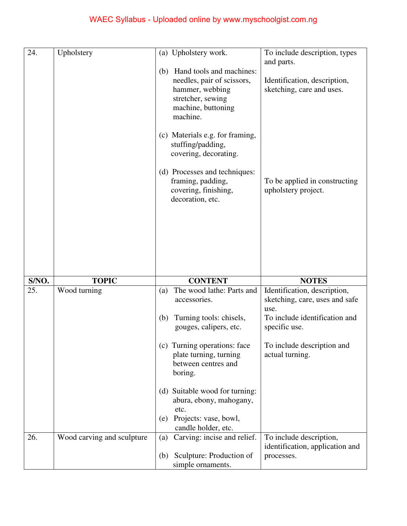| 24.   | Upholstery                 | (a) Upholstery work.                                                                                                                                                       | To include description, types                                                                           |
|-------|----------------------------|----------------------------------------------------------------------------------------------------------------------------------------------------------------------------|---------------------------------------------------------------------------------------------------------|
|       |                            | Hand tools and machines:<br>(b)<br>needles, pair of scissors,<br>hammer, webbing<br>stretcher, sewing<br>machine, buttoning<br>machine.<br>(c) Materials e.g. for framing, | and parts.<br>Identification, description,<br>sketching, care and uses.                                 |
|       |                            | stuffing/padding,<br>covering, decorating.                                                                                                                                 |                                                                                                         |
|       |                            | (d) Processes and techniques:<br>framing, padding,<br>covering, finishing,<br>decoration, etc.                                                                             | To be applied in constructing<br>upholstery project.                                                    |
|       |                            |                                                                                                                                                                            |                                                                                                         |
|       |                            |                                                                                                                                                                            |                                                                                                         |
| S/NO. |                            |                                                                                                                                                                            |                                                                                                         |
|       | <b>TOPIC</b>               | <b>CONTENT</b>                                                                                                                                                             | <b>NOTES</b>                                                                                            |
| 25.   | Wood turning               | The wood lathe: Parts and<br>(a)<br>accessories.<br>Turning tools: chisels,<br>(b)                                                                                         | Identification, description,<br>sketching, care, uses and safe<br>use.<br>To include identification and |
|       |                            | gouges, calipers, etc.<br>(c) Turning operations: face<br>plate turning, turning<br>between centres and<br>boring.                                                         | specific use.<br>To include description and<br>actual turning.                                          |
|       |                            | (d) Suitable wood for turning:<br>abura, ebony, mahogany,<br>etc.                                                                                                          |                                                                                                         |
|       |                            | Projects: vase, bowl,<br>(e)                                                                                                                                               |                                                                                                         |
| 26.   | Wood carving and sculpture | candle holder, etc.<br>Carving: incise and relief.<br>(a)<br>Sculpture: Production of<br>(b)                                                                               | To include description,<br>identification, application and<br>processes.                                |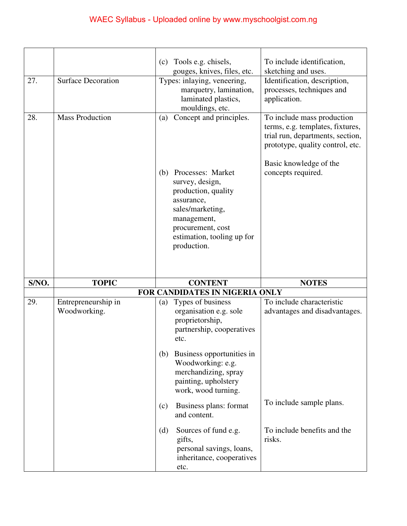|       |                                     | Tools e.g. chisels,<br>(c)                                                                                                                                                                                                              | To include identification,                                                                                                                                                             |
|-------|-------------------------------------|-----------------------------------------------------------------------------------------------------------------------------------------------------------------------------------------------------------------------------------------|----------------------------------------------------------------------------------------------------------------------------------------------------------------------------------------|
|       |                                     | gouges, knives, files, etc.                                                                                                                                                                                                             | sketching and uses.                                                                                                                                                                    |
| 27.   | <b>Surface Decoration</b>           | Types: inlaying, veneering,<br>marquetry, lamination,<br>laminated plastics,<br>mouldings, etc.                                                                                                                                         | Identification, description,<br>processes, techniques and<br>application.                                                                                                              |
| 28.   | <b>Mass Production</b>              | Concept and principles.<br>(a)<br>Processes: Market<br>(b)<br>survey, design,<br>production, quality<br>assurance,<br>sales/marketing,<br>management,<br>procurement, cost<br>estimation, tooling up for<br>production.                 | To include mass production<br>terms, e.g. templates, fixtures,<br>trial run, departments, section,<br>prototype, quality control, etc.<br>Basic knowledge of the<br>concepts required. |
| S/NO. | <b>TOPIC</b>                        | <b>CONTENT</b>                                                                                                                                                                                                                          | <b>NOTES</b>                                                                                                                                                                           |
|       |                                     | FOR CANDIDATES IN NIGERIA ONLY                                                                                                                                                                                                          |                                                                                                                                                                                        |
| 29.   | Entrepreneurship in<br>Woodworking. | (a) Types of business<br>organisation e.g. sole<br>proprietorship,<br>partnership, cooperatives<br>etc.<br>Business opportunities in<br>(b)<br>Woodworking: e.g.<br>merchandizing, spray<br>painting, upholstery<br>work, wood turning. | To include characteristic<br>advantages and disadvantages.                                                                                                                             |
|       |                                     | Business plans: format<br>(c)<br>and content.                                                                                                                                                                                           | To include sample plans.                                                                                                                                                               |
|       |                                     |                                                                                                                                                                                                                                         |                                                                                                                                                                                        |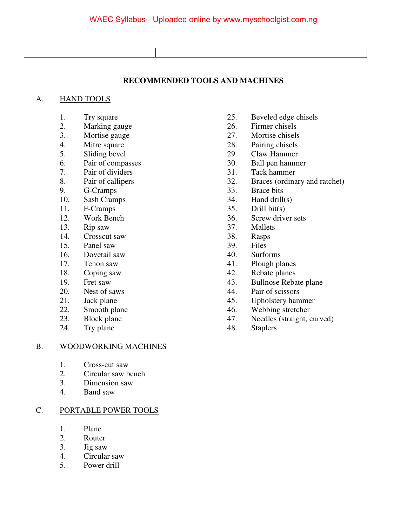#### **RECOMMENDED TOOLS AND MACHINES**

#### A. HAND TOOLS

- 
- 
- 
- 
- 
- 6. Pair of compasses 30. Ball pen hammer<br>
7. Pair of dividers 31. Tack hammer
- 
- 
- 9. G-Cramps 33. Brace bits
- 10. Sash Cramps 34. Hand drill(s)
- 11. F-Cramps 35. Drill bit(s)
- 
- 13. Rip saw 37. Mallets
- 14. Crosscut saw 38. Rasps
- 15. Panel saw 39. Files
- 16. Dovetail saw 40. Surforms
- 
- 
- 
- 
- 
- 
- 
- 24. Try plane 48. Staplers

#### B. WOODWORKING MACHINES

- 1. Cross-cut saw
- 2. Circular saw bench
- 3. Dimension saw
- 4. Band saw

#### C. PORTABLE POWER TOOLS

- 1. Plane
- 2. Router
- 3. Jig saw
- 4. Circular saw
- 5. Power drill
- 1. Try square 25. Beveled edge chisels
- 2. Marking gauge 26. Firmer chisels
- 3. Mortise gauge 27. Mortise chisels
- 4. Mitre square 28. Pairing chisels
- 5. Sliding bevel 29. Claw Hammer
	-
	- Pair of dividers 31. Tack hammer
- 8. Pair of callipers 32. Braces (ordinary and ratchet)
	-
	-
	-
- 12. Work Bench 36. Screw driver sets
	-
	-
	-
	-
- 17. Tenon saw 41. Plough planes
- 18. Coping saw 42. Rebate planes
- 19. Fret saw 43. Bullnose Rebate plane<br>
20. Nest of saws 44. Pair of scissors
- 20. Nest of saws 44. Pair of scissors
- 21. Jack plane 45. Upholstery hammer
- 22. Smooth plane 46. Webbing stretcher
- 23. Block plane 47. Needles (straight, curved)
	-